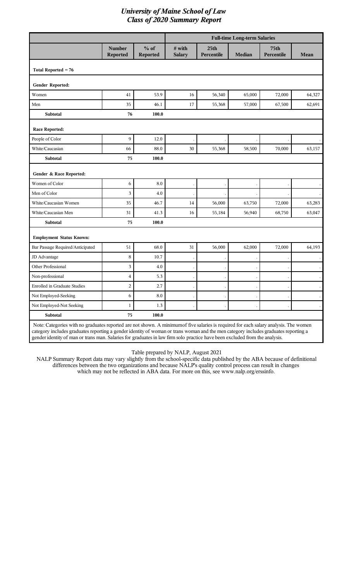| Total Reported $= 76$               | <b>Number</b><br>Reported | $%$ of     |                         |                                |               |                                |        |
|-------------------------------------|---------------------------|------------|-------------------------|--------------------------------|---------------|--------------------------------|--------|
|                                     |                           | Reported   | # with<br><b>Salary</b> | 25 <sub>th</sub><br>Percentile | <b>Median</b> | 75 <sub>th</sub><br>Percentile | Mean   |
|                                     |                           |            |                         |                                |               |                                |        |
| Gender Reported:                    |                           |            |                         |                                |               |                                |        |
| Women                               | 41                        | 53.9       | 16                      | 56,340                         | 65,000        | 72,000                         | 64,327 |
| Men                                 | 35                        | 46.1       | 17                      | 55,368                         | 57,000        | 67,500                         | 62,691 |
| Subtotal                            | 76                        | 100.0      |                         |                                |               |                                |        |
| <b>Race Reported:</b>               |                           |            |                         |                                |               |                                |        |
| People of Color                     | 9                         | 12.0       |                         |                                |               |                                |        |
| White/Caucasian                     | 66                        | 88.0       | 30                      | 55,368                         | 58,500        | 70,000                         | 63,157 |
| Subtotal                            | 75                        | 100.0      |                         |                                |               |                                |        |
| Gender & Race Reported:             |                           |            |                         |                                |               |                                |        |
| Women of Color                      | 6                         | 8.0        |                         |                                |               |                                |        |
| Men of Color                        | 3                         | 4.0        |                         |                                |               |                                |        |
| White/Caucasian Women               | 35                        | 46.7       | 14                      | 56,000                         | 63,750        | 72,000                         | 63,283 |
| White/Caucasian Men                 | 31                        | 41.3       | 16                      | 55,184                         | 56,940        | 68,750                         | 63,047 |
| <b>Subtotal</b>                     | 75                        | 100.0      |                         |                                |               |                                |        |
| <b>Employment Status Known:</b>     |                           |            |                         |                                |               |                                |        |
| Bar Passage Required/Anticipated    | 51                        | 68.0       | 31                      | 56,000                         | 62,000        | 72,000                         | 64,193 |
| JD Advantage                        | 8                         | 10.7       |                         |                                |               |                                |        |
| Other Professional                  | 3                         | 4.0        |                         |                                |               |                                |        |
| Non-professional                    | 4                         | 5.3        |                         |                                |               |                                |        |
| <b>Enrolled in Graduate Studies</b> | $\overline{c}$            | 2.7        |                         |                                |               |                                |        |
| Not Employed-Seeking                | $\boldsymbol{6}$          | $\ \, 8.0$ |                         |                                |               |                                |        |
| Not Employed-Not Seeking            | $\mathbf{1}$              | $1.3\,$    |                         |                                |               |                                |        |
| Subtotal                            | 75                        | 100.0      |                         |                                |               |                                |        |

gender identity of man or trans man. Salaries for graduates in law firm solo practice have been excluded from the analysis.

Table prepared by NALP, August 2021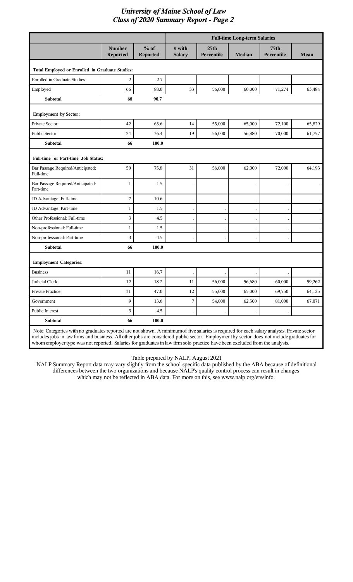|                                                                                                                                            |                           |                           | <b>Full-time Long-term Salaries</b> |                                |               |                                |        |  |
|--------------------------------------------------------------------------------------------------------------------------------------------|---------------------------|---------------------------|-------------------------------------|--------------------------------|---------------|--------------------------------|--------|--|
|                                                                                                                                            | Number<br><b>Reported</b> | $%$ of<br><b>Reported</b> | # with<br><b>Salary</b>             | 25 <sub>th</sub><br>Percentile | <b>Median</b> | 75 <sub>th</sub><br>Percentile | Mean   |  |
| Total Employed or Enrolled in Graduate Studies:                                                                                            |                           |                           |                                     |                                |               |                                |        |  |
| <b>Enrolled in Graduate Studies</b>                                                                                                        | $\overline{c}$            | 2.7                       |                                     |                                |               |                                |        |  |
| Employed                                                                                                                                   | 66                        | 88.0                      | 33                                  | 56,000                         | 60,000        | 71,274                         | 63,484 |  |
| <b>Subtotal</b>                                                                                                                            | 68                        | 90.7                      |                                     |                                |               |                                |        |  |
| <b>Employment by Sector:</b>                                                                                                               |                           |                           |                                     |                                |               |                                |        |  |
| Private Sector                                                                                                                             | 42                        | 63.6                      | 14                                  | 55,000                         | 65,000        | 72,100                         | 65,829 |  |
| Public Sector                                                                                                                              | 24                        | 36.4                      | 19                                  | 56,000                         | 56,880        | 70,000                         | 61,757 |  |
| <b>Subtotal</b>                                                                                                                            | 66                        | 100.0                     |                                     |                                |               |                                |        |  |
| Full-time or Part-time Job Status:                                                                                                         |                           |                           |                                     |                                |               |                                |        |  |
| Bar Passage Required/Anticipated:<br>Full-time                                                                                             | 50                        | 75.8                      | 31                                  | 56,000                         | 62,000        | 72,000                         | 64,193 |  |
| Bar Passage Required/Anticipated:<br>Part-time                                                                                             | $\mathbf{1}$              | 1.5                       |                                     |                                |               |                                |        |  |
| JD Advantage: Full-time                                                                                                                    | 7                         | 10.6                      |                                     |                                |               |                                |        |  |
| JD Advantage: Part-time                                                                                                                    | $\mathbf{1}$              | 1.5                       |                                     |                                |               |                                |        |  |
| Other Professional: Full-time                                                                                                              | 3                         | 4.5                       |                                     |                                |               |                                |        |  |
| Non-professional: Full-time                                                                                                                | 1                         | 1.5                       |                                     |                                |               |                                |        |  |
| Non-professional: Part-time                                                                                                                | 3                         | 4.5                       |                                     |                                |               |                                |        |  |
| <b>Subtotal</b>                                                                                                                            | 66                        | 100.0                     |                                     |                                |               |                                |        |  |
| <b>Employment Categories:</b>                                                                                                              |                           |                           |                                     |                                |               |                                |        |  |
| <b>Business</b>                                                                                                                            | 11                        | 16.7                      |                                     |                                |               |                                |        |  |
| Judicial Clerk                                                                                                                             | 12                        | 18.2                      | 11                                  | 56,000                         | 56,680        | 60,000                         | 59,262 |  |
| Private Practice                                                                                                                           | 31                        | 47.0                      | $12\,$                              | 55,000                         | 65,000        | 69,750                         | 64,125 |  |
| Government                                                                                                                                 | 9                         | 13.6                      | 7                                   | 54,000                         | 62,500        | 81,000                         | 67,071 |  |
| Public Interest                                                                                                                            | 3                         | 4.5                       |                                     |                                |               |                                |        |  |
| Subtotal                                                                                                                                   | 66                        | 100.0                     |                                     |                                |               |                                |        |  |
| Note: Categories with no graduates reported are not shown. A minimum of five salaries is required for each salary analysis. Private sector |                           |                           |                                     |                                |               |                                |        |  |

includes jobs in law firms and business. All other jobs are considered public sector. Employment by sector does not include graduates for whom employer type was not reported. Salaries for graduates in law firm solo practice have been excluded from the analysis.

Table prepared by NALP, August 2021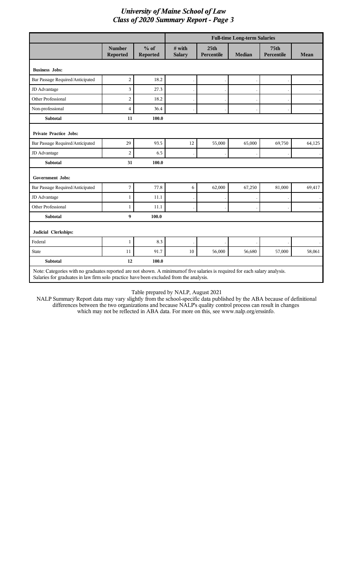|                                                                                                                             |                           |                    | <b>Full-time Long-term Salaries</b> |                                |               |                                |                      |  |
|-----------------------------------------------------------------------------------------------------------------------------|---------------------------|--------------------|-------------------------------------|--------------------------------|---------------|--------------------------------|----------------------|--|
|                                                                                                                             | <b>Number</b><br>Reported | $%$ of<br>Reported | # with<br><b>Salary</b>             | 25 <sub>th</sub><br>Percentile | <b>Median</b> | 75 <sub>th</sub><br>Percentile | Mean                 |  |
| <b>Business Jobs:</b>                                                                                                       |                           |                    |                                     |                                |               |                                |                      |  |
| Bar Passage Required/Anticipated                                                                                            | $\overline{c}$            | 18.2               |                                     |                                |               |                                |                      |  |
| JD Advantage                                                                                                                | 3                         | 27.3               |                                     |                                |               |                                |                      |  |
| Other Professional                                                                                                          | $\boldsymbol{2}$          | 18.2               |                                     |                                |               |                                |                      |  |
| Non-professional                                                                                                            | $\overline{4}$            | 36.4               |                                     |                                |               |                                | $\ddot{\phantom{a}}$ |  |
| <b>Subtotal</b>                                                                                                             | 11                        | 100.0              |                                     |                                |               |                                |                      |  |
| <b>Private Practice Jobs:</b>                                                                                               |                           |                    |                                     |                                |               |                                |                      |  |
| Bar Passage Required/Anticipated                                                                                            | 29                        | 93.5               | 12                                  | 55,000                         | 65,000        | 69,750                         | 64,125               |  |
| JD Advantage                                                                                                                | $\overline{c}$            | 6.5                |                                     |                                |               |                                |                      |  |
| <b>Subtotal</b>                                                                                                             | 31                        | 100.0              |                                     |                                |               |                                |                      |  |
| <b>Government Jobs:</b>                                                                                                     |                           |                    |                                     |                                |               |                                |                      |  |
| Bar Passage Required/Anticipated                                                                                            | 7                         | 77.8               | 6                                   | 62,000                         | 67,250        | 81,000                         | 69,417               |  |
| JD Advantage                                                                                                                | $\mathbf{1}$              | 11.1               |                                     |                                |               |                                |                      |  |
| Other Professional                                                                                                          | $\mathbf{1}$              | 11.1               |                                     |                                |               |                                |                      |  |
| <b>Subtotal</b>                                                                                                             | 9                         | 100.0              |                                     |                                |               |                                |                      |  |
| Judicial Clerkships:                                                                                                        |                           |                    |                                     |                                |               |                                |                      |  |
| Federal                                                                                                                     | $\mathbf{1}$              | 8.3                |                                     |                                |               |                                |                      |  |
| <b>State</b>                                                                                                                | 11                        | 91.7               | 10                                  | 56,000                         | 56,680        | 57,000                         | 58,061               |  |
| Subtotal                                                                                                                    | 12                        | 100.0              |                                     |                                |               |                                |                      |  |
| Note: Categories with no graduates reported are not shown. A minimum of five salaries is required for each salary analysis. |                           |                    |                                     |                                |               |                                |                      |  |

Salaries for graduates in law firm solo practice have been excluded from the analysis.

I

Table prepared by NALP, August 2021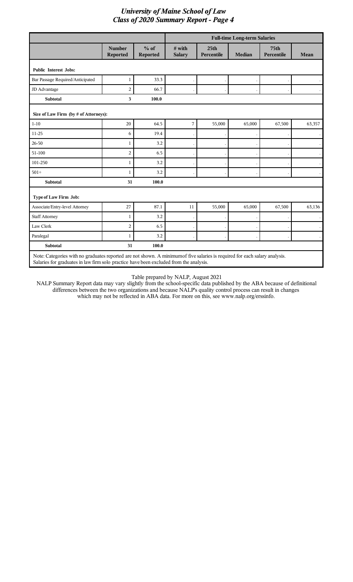|                                       |                                                                                                                                                                                                                       |                    |                           |                                | <b>Full-time Long-term Salaries</b> |                                |                      |  |  |
|---------------------------------------|-----------------------------------------------------------------------------------------------------------------------------------------------------------------------------------------------------------------------|--------------------|---------------------------|--------------------------------|-------------------------------------|--------------------------------|----------------------|--|--|
|                                       | <b>Number</b><br>Reported                                                                                                                                                                                             | $%$ of<br>Reported | $#$ with<br><b>Salary</b> | 25 <sub>th</sub><br>Percentile | <b>Median</b>                       | 75 <sub>th</sub><br>Percentile | Mean                 |  |  |
| <b>Public Interest Jobs:</b>          |                                                                                                                                                                                                                       |                    |                           |                                |                                     |                                |                      |  |  |
| Bar Passage Required/Anticipated      | 1                                                                                                                                                                                                                     | 33.3               |                           |                                |                                     |                                |                      |  |  |
| JD Advantage                          | $\overline{2}$                                                                                                                                                                                                        | 66.7               |                           |                                |                                     |                                | $\ddot{\phantom{0}}$ |  |  |
| <b>Subtotal</b>                       | $\overline{\mathbf{3}}$                                                                                                                                                                                               | 100.0              |                           |                                |                                     |                                |                      |  |  |
| Size of Law Firm (by # of Attorneys): |                                                                                                                                                                                                                       |                    |                           |                                |                                     |                                |                      |  |  |
| $1 - 10$                              | 20                                                                                                                                                                                                                    | 64.5               | $\overline{7}$            | 55,000                         | 65,000                              | 67,500                         | 63,357               |  |  |
| 11-25                                 | 6                                                                                                                                                                                                                     | 19.4               |                           |                                |                                     |                                | $\ddot{\phantom{0}}$ |  |  |
| 26-50                                 | $\mathbf{1}$                                                                                                                                                                                                          | 3.2                |                           |                                |                                     |                                | $\ddot{\phantom{0}}$ |  |  |
| 51-100                                | $\overline{c}$                                                                                                                                                                                                        | 6.5                |                           |                                |                                     |                                | $\bullet$            |  |  |
| 101-250                               | $\mathbf{1}$                                                                                                                                                                                                          | 3.2                |                           |                                |                                     |                                |                      |  |  |
| $501+$                                | $\mathbf{1}$                                                                                                                                                                                                          | 3.2                |                           |                                |                                     |                                |                      |  |  |
| <b>Subtotal</b>                       | 31                                                                                                                                                                                                                    | 100.0              |                           |                                |                                     |                                |                      |  |  |
| Type of Law Firm Job:                 |                                                                                                                                                                                                                       |                    |                           |                                |                                     |                                |                      |  |  |
| Associate/Entry-level Attorney        | 27                                                                                                                                                                                                                    | 87.1               | 11                        | 55,000                         | 65,000                              | 67,500                         | 63,136               |  |  |
| <b>Staff Attorney</b>                 | 1                                                                                                                                                                                                                     | 3.2                |                           |                                |                                     |                                |                      |  |  |
| Law Clerk                             | $\overline{c}$                                                                                                                                                                                                        | 6.5                |                           |                                |                                     |                                | $\cdot$              |  |  |
| Paralegal                             | $\mathbf{1}$                                                                                                                                                                                                          | 3.2                |                           |                                |                                     |                                |                      |  |  |
| <b>Subtotal</b>                       | 31                                                                                                                                                                                                                    | 100.0              |                           |                                |                                     |                                |                      |  |  |
|                                       | Note: Categories with no graduates reported are not shown. A minimum of five salaries is required for each salary analysis.<br>Salaries for graduates in law firm solo practice have been excluded from the analysis. |                    |                           |                                |                                     |                                |                      |  |  |

Table prepared by NALP, August 2021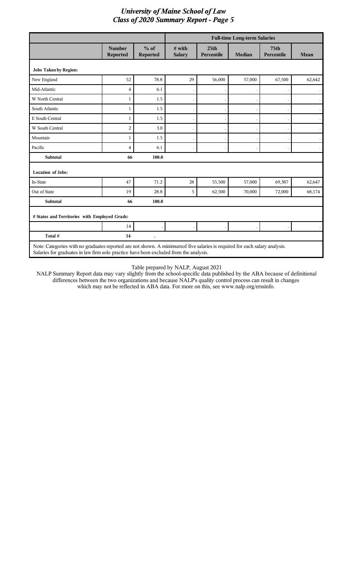|                                               |                                                                                                                                                                                                                       |                           |                           |                                | <b>Full-time Long-term Salaries</b> |                                |        |  |  |
|-----------------------------------------------|-----------------------------------------------------------------------------------------------------------------------------------------------------------------------------------------------------------------------|---------------------------|---------------------------|--------------------------------|-------------------------------------|--------------------------------|--------|--|--|
|                                               | <b>Number</b><br><b>Reported</b>                                                                                                                                                                                      | $%$ of<br><b>Reported</b> | $#$ with<br><b>Salary</b> | 25 <sub>th</sub><br>Percentile | <b>Median</b>                       | 75 <sub>th</sub><br>Percentile | Mean   |  |  |
| <b>Jobs Taken by Region:</b>                  |                                                                                                                                                                                                                       |                           |                           |                                |                                     |                                |        |  |  |
| New England                                   | 52                                                                                                                                                                                                                    | 78.8                      | 29                        | 56,000                         | 57,000                              | 67,500                         | 62,642 |  |  |
| Mid-Atlantic                                  | 4                                                                                                                                                                                                                     | 6.1                       |                           |                                |                                     |                                |        |  |  |
| W North Central                               | 1                                                                                                                                                                                                                     | 1.5                       |                           |                                |                                     |                                |        |  |  |
| South Atlantic                                | 1                                                                                                                                                                                                                     | 1.5                       |                           |                                |                                     |                                |        |  |  |
| E South Central                               | 1                                                                                                                                                                                                                     | 1.5                       |                           |                                |                                     |                                |        |  |  |
| W South Central                               | $\overline{2}$                                                                                                                                                                                                        | 3.0                       |                           |                                |                                     |                                |        |  |  |
| Mountain                                      | 1                                                                                                                                                                                                                     | 1.5                       |                           |                                |                                     |                                |        |  |  |
| Pacific                                       | 4                                                                                                                                                                                                                     | 6.1                       |                           |                                |                                     |                                |        |  |  |
| <b>Subtotal</b>                               | 66                                                                                                                                                                                                                    | 100.0                     |                           |                                |                                     |                                |        |  |  |
| <b>Location of Jobs:</b>                      |                                                                                                                                                                                                                       |                           |                           |                                |                                     |                                |        |  |  |
| In-State                                      | 47                                                                                                                                                                                                                    | 71.2                      | 28                        | 55,500                         | 57,000                              | 69,387                         | 62,647 |  |  |
| Out of State                                  | 19                                                                                                                                                                                                                    | 28.8                      | 5                         | 62,500                         | 70,000                              | 72,000                         | 68,174 |  |  |
| Subtotal                                      | 66                                                                                                                                                                                                                    | 100.0                     |                           |                                |                                     |                                |        |  |  |
| # States and Territories with Employed Grads: |                                                                                                                                                                                                                       |                           |                           |                                |                                     |                                |        |  |  |
|                                               | 14                                                                                                                                                                                                                    |                           |                           |                                |                                     |                                |        |  |  |
| Total #                                       | 14                                                                                                                                                                                                                    |                           |                           |                                |                                     |                                |        |  |  |
|                                               | Note: Categories with no graduates reported are not shown. A minimum of five salaries is required for each salary analysis.<br>Salaries for graduates in law firm solo practice have been excluded from the analysis. |                           |                           |                                |                                     |                                |        |  |  |

 $\overline{\phantom{a}}$ 

 $\mathbf{I}$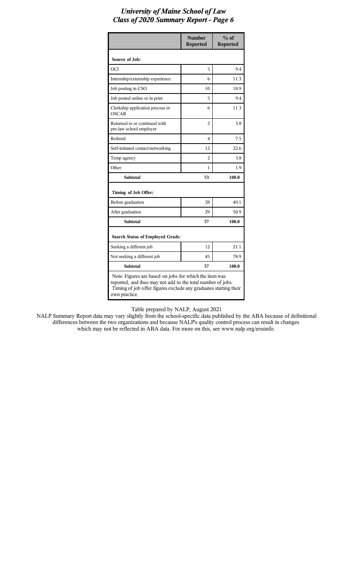|                                                                                                                                                                                                            | <b>Number</b><br><b>Reported</b> | $%$ of<br><b>Reported</b> |  |  |  |
|------------------------------------------------------------------------------------------------------------------------------------------------------------------------------------------------------------|----------------------------------|---------------------------|--|--|--|
| Source of Job:                                                                                                                                                                                             |                                  |                           |  |  |  |
| OCI                                                                                                                                                                                                        | 5                                | 9.4                       |  |  |  |
| Internship/externship experience                                                                                                                                                                           | 6                                | 11.3                      |  |  |  |
| Job posting in CSO                                                                                                                                                                                         | 10                               | 18.9                      |  |  |  |
| Job posted online or in print                                                                                                                                                                              | 5                                | 9.4                       |  |  |  |
| Clerkship application process or<br><b>OSCAR</b>                                                                                                                                                           | 6                                | 11.3                      |  |  |  |
| Returned to or continued with<br>pre-law school employer                                                                                                                                                   | $\overline{c}$                   | 3.8                       |  |  |  |
| Referral                                                                                                                                                                                                   | 4                                | 7.5                       |  |  |  |
| Self-initiated contact/networking                                                                                                                                                                          | 12                               | 22.6                      |  |  |  |
| Temp agency                                                                                                                                                                                                | 2                                | 3.8                       |  |  |  |
| Other                                                                                                                                                                                                      | 1                                | 1.9                       |  |  |  |
| <b>Subtotal</b>                                                                                                                                                                                            | 53                               | 100.0                     |  |  |  |
| Timing of Job Offer:                                                                                                                                                                                       |                                  |                           |  |  |  |
| Before graduation                                                                                                                                                                                          | 28                               | 49.1                      |  |  |  |
| After graduation                                                                                                                                                                                           | 29                               | 50.9                      |  |  |  |
| <b>Subtotal</b>                                                                                                                                                                                            | 57                               | 100.0                     |  |  |  |
| Search Status of Employed Grads:                                                                                                                                                                           |                                  |                           |  |  |  |
| Seeking a different job                                                                                                                                                                                    | 12                               | 21.1                      |  |  |  |
| Not seeking a different job                                                                                                                                                                                | 45                               | 78.9                      |  |  |  |
| <b>Subtotal</b>                                                                                                                                                                                            | 57                               | 100.0                     |  |  |  |
| Note: Figures are based on jobs for which the item was<br>reported, and thus may not add to the total number of jobs.<br>Timing of job offer figures exclude any graduates starting their<br>own practice. |                                  |                           |  |  |  |

Table prepared by NALP, August 2021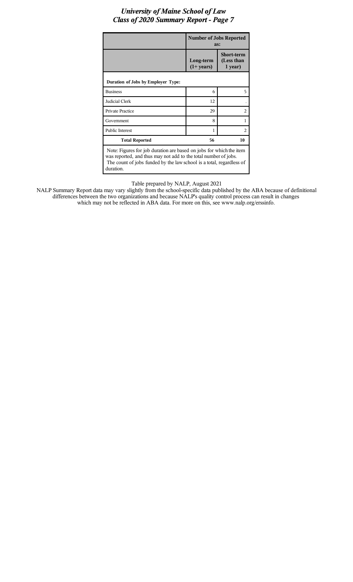|                                                                                                                                                                                                                             | <b>Number of Jobs Reported</b><br>as:                                          |                               |  |  |  |  |
|-----------------------------------------------------------------------------------------------------------------------------------------------------------------------------------------------------------------------------|--------------------------------------------------------------------------------|-------------------------------|--|--|--|--|
|                                                                                                                                                                                                                             | <b>Short-term</b><br>(Less than<br>Long-term<br>$(1+ \text{years})$<br>1 year) |                               |  |  |  |  |
| Duration of Jobs by Employer Type:                                                                                                                                                                                          |                                                                                |                               |  |  |  |  |
| <b>Business</b>                                                                                                                                                                                                             | 6                                                                              | 5                             |  |  |  |  |
| Judicial Clerk                                                                                                                                                                                                              | 12                                                                             |                               |  |  |  |  |
| <b>Private Practice</b>                                                                                                                                                                                                     | 29                                                                             | $\mathfrak{D}_{\mathfrak{p}}$ |  |  |  |  |
| Government                                                                                                                                                                                                                  | 8                                                                              | 1                             |  |  |  |  |
| <b>Public Interest</b>                                                                                                                                                                                                      | 1                                                                              | $\overline{c}$                |  |  |  |  |
| <b>Total Reported</b>                                                                                                                                                                                                       | 56<br>10                                                                       |                               |  |  |  |  |
| Note: Figures for job duration are based on jobs for which the item<br>was reported, and thus may not add to the total number of jobs.<br>The count of jobs funded by the law school is a total, regardless of<br>duration. |                                                                                |                               |  |  |  |  |

Table prepared by NALP, August 2021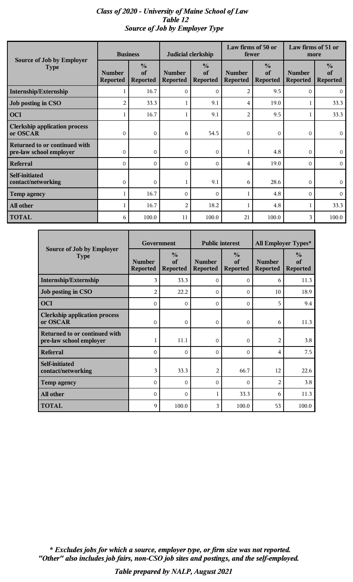# *Class of 2020 - University of Maine School of Law Table 12 Source of Job by Employer Type*

| Source of Job by Employer                                | <b>Business</b>                  |                                        | Judicial clerkship               |                                        | Law firms of 50 or<br>fewer      |                                        | Law firms of 51 or<br>more       |                                        |
|----------------------------------------------------------|----------------------------------|----------------------------------------|----------------------------------|----------------------------------------|----------------------------------|----------------------------------------|----------------------------------|----------------------------------------|
| <b>Type</b>                                              | <b>Number</b><br><b>Reported</b> | $\frac{0}{0}$<br>of<br><b>Reported</b> | <b>Number</b><br><b>Reported</b> | $\frac{0}{0}$<br>of<br><b>Reported</b> | <b>Number</b><br><b>Reported</b> | $\frac{0}{0}$<br>of<br><b>Reported</b> | <b>Number</b><br><b>Reported</b> | $\frac{0}{0}$<br>of<br><b>Reported</b> |
| Internship/Externship                                    |                                  | 16.7                                   | $\Omega$                         | $\Omega$                               | $\overline{2}$                   | 9.5                                    | $\Omega$                         | $\mathbf{0}$                           |
| Job posting in CSO                                       | 2                                | 33.3                                   | 1                                | 9.1                                    | 4                                | 19.0                                   |                                  | 33.3                                   |
| <b>OCI</b>                                               |                                  | 16.7                                   | $\mathbf{1}$                     | 9.1                                    | $\overline{2}$                   | 9.5                                    |                                  | 33.3                                   |
| <b>Clerkship application process</b><br>or OSCAR         | $\mathbf 0$                      | $\mathbf 0$                            | 6                                | 54.5                                   | $\mathbf 0$                      | 0                                      | 0                                | $\overline{0}$                         |
| Returned to or continued with<br>pre-law school employer | $\Omega$                         | $\mathbf{0}$                           | $\Omega$                         | $\mathbf 0$                            |                                  | 4.8                                    | $\Omega$                         | $\mathbf{0}$                           |
| <b>Referral</b>                                          | $\Omega$                         | $\overline{O}$                         | $\Omega$                         | $\mathbf{O}$                           | 4                                | 19.0                                   | $\Omega$                         | $\overline{0}$                         |
| <b>Self-initiated</b><br>contact/networking              | $\mathbf{O}$                     | $\overline{0}$                         | $\mathbf{1}$                     | 9.1                                    | 6                                | 28.6                                   | $\overline{0}$                   | $\overline{0}$                         |
| <b>Temp agency</b>                                       |                                  | 16.7                                   | $\Omega$                         | $\Omega$                               |                                  | 4.8                                    | $\Omega$                         | $\Omega$                               |
| All other                                                |                                  | 16.7                                   | $\overline{2}$                   | 18.2                                   |                                  | 4.8                                    |                                  | 33.3                                   |
| <b>TOTAL</b>                                             | 6                                | 100.0                                  | 11                               | 100.0                                  | 21                               | 100.0                                  | 3                                | 100.0                                  |

|                                                          | Government                       |                                        | <b>Public interest</b>           |                                        | All Employer Types*              |                                        |  |
|----------------------------------------------------------|----------------------------------|----------------------------------------|----------------------------------|----------------------------------------|----------------------------------|----------------------------------------|--|
| Source of Job by Employer<br><b>Type</b>                 | <b>Number</b><br><b>Reported</b> | $\frac{0}{0}$<br>of<br><b>Reported</b> | <b>Number</b><br><b>Reported</b> | $\frac{0}{0}$<br>of<br><b>Reported</b> | <b>Number</b><br><b>Reported</b> | $\frac{6}{9}$<br>of<br><b>Reported</b> |  |
| Internship/Externship                                    | 3                                | 33.3                                   | 0                                | $\Omega$                               | 6                                | 11.3                                   |  |
| Job posting in CSO                                       | $\overline{2}$                   | 22.2                                   | $\Omega$                         | $\Omega$                               | 10                               | 18.9                                   |  |
| <b>OCI</b>                                               | $\Omega$                         | $\mathbf{0}$                           | $\Omega$                         | $\Omega$                               | 5                                | 9.4                                    |  |
| <b>Clerkship application process</b><br>or OSCAR         | $\Omega$                         | $\mathbf{O}$                           | 0                                | $\Omega$                               | 6                                | 11.3                                   |  |
| Returned to or continued with<br>pre-law school employer | 1                                | 11.1                                   | $\Omega$                         | $\Omega$                               | $\overline{2}$                   | 3.8                                    |  |
| Referral                                                 | $\Omega$                         | $\mathbf{O}$                           | 0                                | $\Omega$                               | 4                                | 7.5                                    |  |
| Self-initiated<br>contact/networking                     | 3                                | 33.3                                   | 2                                | 66.7                                   | 12                               | 22.6                                   |  |
| Temp agency                                              | $\Omega$                         | $\Omega$                               | $\Omega$                         | $\Omega$                               | $\overline{2}$                   | 3.8                                    |  |
| All other                                                | $\Omega$                         | $\Omega$                               | 1                                | 33.3                                   | 6                                | 11.3                                   |  |
| <b>TOTAL</b>                                             | 9                                | 100.0                                  | 3                                | 100.0                                  | 53                               | 100.0                                  |  |

*"Other" also includes job fairs, non-CSO job sites and postings, and the self-employed. \* Excludes jobs for which a source, employer type, or firm size was not reported.*

*Table prepared by NALP, August 2021*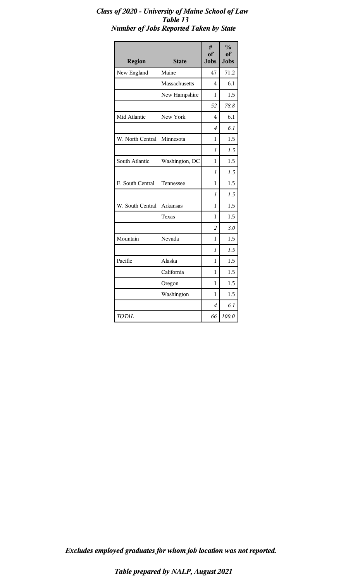| <b>Region</b>    | <b>State</b>   | #<br>of<br><b>Jobs</b> | $\frac{0}{0}$<br>of<br><b>Jobs</b> |
|------------------|----------------|------------------------|------------------------------------|
| New England      | Maine          | 47                     | 71.2                               |
|                  | Massachusetts  | 4                      | 6.1                                |
|                  | New Hampshire  | 1                      | 1.5                                |
|                  |                | 52                     | 78.8                               |
| Mid Atlantic     | New York       | 4                      | 6.1                                |
|                  |                | $\overline{4}$         | 6.1                                |
| W. North Central | Minnesota      | 1                      | 1.5                                |
|                  |                | $\mathcal I$           | 1.5                                |
| South Atlantic   | Washington, DC | 1                      | 1.5                                |
|                  |                | 1                      | 1.5                                |
| E. South Central | Tennessee      | 1                      | 1.5                                |
|                  |                | $\overline{I}$         | 1.5                                |
| W. South Central | Arkansas       | 1                      | 1.5                                |
|                  | Texas          | 1                      | 1.5                                |
|                  |                | $\overline{2}$         | 3.0                                |
| Mountain         | Nevada         | 1                      | 1.5                                |
|                  |                | $\mathcal I$           | 1.5                                |
| Pacific          | Alaska         | 1                      | 1.5                                |
|                  | California     | 1                      | 1.5                                |
|                  | Oregon         | 1                      | 1.5                                |
|                  | Washington     | 1                      | 1.5                                |
|                  |                | 4                      | 6.1                                |
| <b>TOTAL</b>     |                | 66                     | 100.0                              |

### *Class of 2020 - University of Maine School of Law Table 13 Number of Jobs Reported Taken by State*

*Excludes employed graduates for whom job location was not reported.*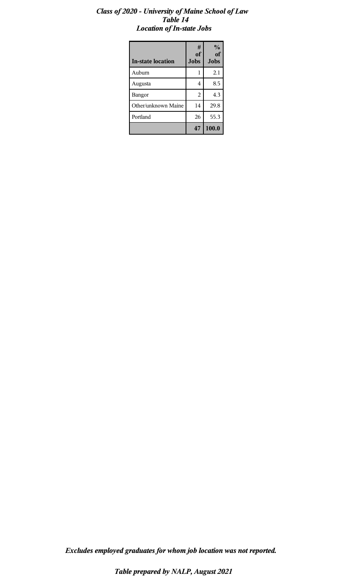### *Class of 2020 - University of Maine School of Law Table 14 Location of In-state Jobs*

| <b>In-state location</b> | #<br><b>of</b><br><b>Jobs</b> | $\frac{1}{2}$<br>of<br><b>Jobs</b> |
|--------------------------|-------------------------------|------------------------------------|
| Auburn                   | 1                             | 2.1                                |
| Augusta                  | 4                             | 8.5                                |
| Bangor                   | $\overline{2}$                | 4.3                                |
| Other/unknown Maine      | 14                            | 29.8                               |
| Portland                 | 26                            | 55.3                               |
|                          | 47                            | 100.0                              |

*Excludes employed graduates for whom job location was not reported.*

*Table prepared by NALP, August 2021*